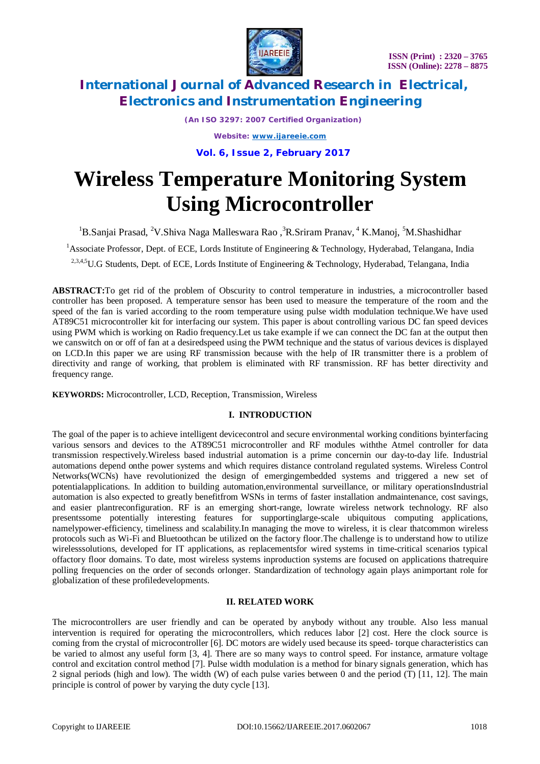

*(An ISO 3297: 2007 Certified Organization)*

*Website: [www.ijareeie.com](http://www.ijareeie.com)*

**Vol. 6, Issue 2, February 2017**

# **Wireless Temperature Monitoring System Using Microcontroller**

<sup>1</sup>B.Sanjai Prasad, <sup>2</sup>V.Shiva Naga Malleswara Rao ,<sup>3</sup>R.Sriram Pranav, <sup>4</sup> K.Manoj, <sup>5</sup>M.Shashidhar

<sup>1</sup>Associate Professor, Dept. of ECE, Lords Institute of Engineering & Technology, Hyderabad, Telangana, India

<sup>2,3,4,5</sup>U.G Students, Dept. of ECE, Lords Institute of Engineering & Technology, Hyderabad, Telangana, India

**ABSTRACT:**To get rid of the problem of Obscurity to control temperature in industries, a microcontroller based controller has been proposed. A temperature sensor has been used to measure the temperature of the room and the speed of the fan is varied according to the room temperature using pulse width modulation technique.We have used AT89C51 microcontroller kit for interfacing our system. This paper is about controlling various DC fan speed devices using PWM which is working on Radio frequency.Let us take example if we can connect the DC fan at the output then we canswitch on or off of fan at a desiredspeed using the PWM technique and the status of various devices is displayed on LCD.In this paper we are using RF transmission because with the help of IR transmitter there is a problem of directivity and range of working, that problem is eliminated with RF transmission. RF has better directivity and frequency range.

**KEYWORDS:** Microcontroller, LCD, Reception, Transmission, Wireless

### **I. INTRODUCTION**

The goal of the paper is to achieve intelligent devicecontrol and secure environmental working conditions byinterfacing various sensors and devices to the AT89C51 microcontroller and RF modules withthe Atmel controller for data transmission respectively.Wireless based industrial automation is a prime concernin our day-to-day life. Industrial automations depend onthe power systems and which requires distance controland regulated systems. Wireless Control Networks(WCNs) have revolutionized the design of emergingembedded systems and triggered a new set of potentialapplications. In addition to building automation,environmental surveillance, or military operationsIndustrial automation is also expected to greatly benefitfrom WSNs in terms of faster installation andmaintenance, cost savings, and easier plantreconfiguration. RF is an emerging short-range, lowrate wireless network technology. RF also presentssome potentially interesting features for supportinglarge-scale ubiquitous computing applications, namelypower-efficiency, timeliness and scalability.In managing the move to wireless, it is clear thatcommon wireless protocols such as Wi-Fi and Bluetoothcan be utilized on the factory floor.The challenge is to understand how to utilize wirelesssolutions, developed for IT applications, as replacementsfor wired systems in time-critical scenarios typical offactory floor domains. To date, most wireless systems inproduction systems are focused on applications thatrequire polling frequencies on the order of seconds orlonger. Standardization of technology again plays animportant role for globalization of these profiledevelopments.

### **II. RELATED WORK**

The microcontrollers are user friendly and can be operated by anybody without any trouble. Also less manual intervention is required for operating the microcontrollers, which reduces labor [2] cost. Here the clock source is coming from the crystal of microcontroller [6]. DC motors are widely used because its speed- torque characteristics can be varied to almost any useful form [3, 4]. There are so many ways to control speed. For instance, armature voltage control and excitation control method [7]. Pulse width modulation is a method for binary signals generation, which has 2 signal periods (high and low). The width (W) of each pulse varies between 0 and the period (T) [11, 12]. The main principle is control of power by varying the duty cycle [13].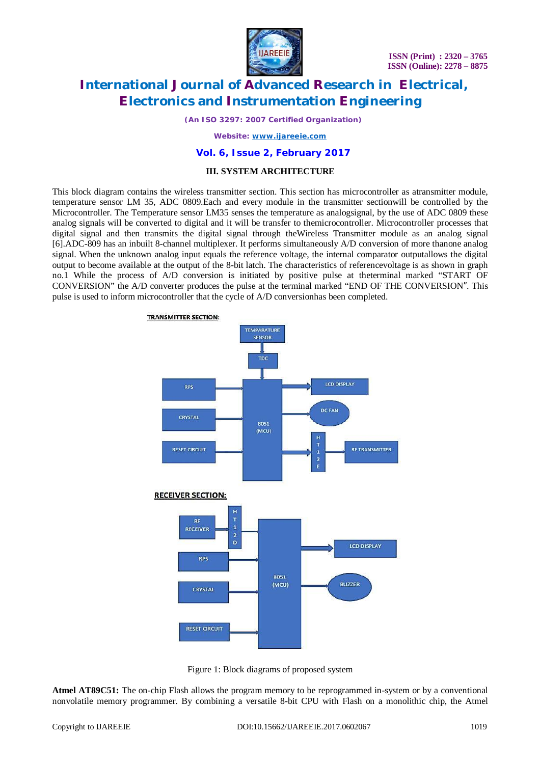

*(An ISO 3297: 2007 Certified Organization)*

*Website: [www.ijareeie.com](http://www.ijareeie.com)*

#### **Vol. 6, Issue 2, February 2017**

#### **III. SYSTEM ARCHITECTURE**

This block diagram contains the wireless transmitter section. This section has microcontroller as atransmitter module, temperature sensor LM 35, ADC 0809.Each and every module in the transmitter sectionwill be controlled by the Microcontroller. The Temperature sensor LM35 senses the temperature as analogsignal, by the use of ADC 0809 these analog signals will be converted to digital and it will be transfer to themicrocontroller. Microcontroller processes that digital signal and then transmits the digital signal through theWireless Transmitter module as an analog signal [6].ADC-809 has an inbuilt 8-channel multiplexer. It performs simultaneously A/D conversion of more thanone analog signal. When the unknown analog input equals the reference voltage, the internal comparator outputallows the digital output to become available at the output of the 8-bit latch. The characteristics of referencevoltage is as shown in graph no.1 While the process of A/D conversion is initiated by positive pulse at theterminal marked "START OF CONVERSION" the A/D converter produces the pulse at the terminal marked "END OF THE CONVERSION". This pulse is used to inform microcontroller that the cycle of A/D conversionhas been completed.





**Atmel AT89C51:** The on-chip Flash allows the program memory to be reprogrammed in-system or by a conventional nonvolatile memory programmer. By combining a versatile 8-bit CPU with Flash on a monolithic chip, the Atmel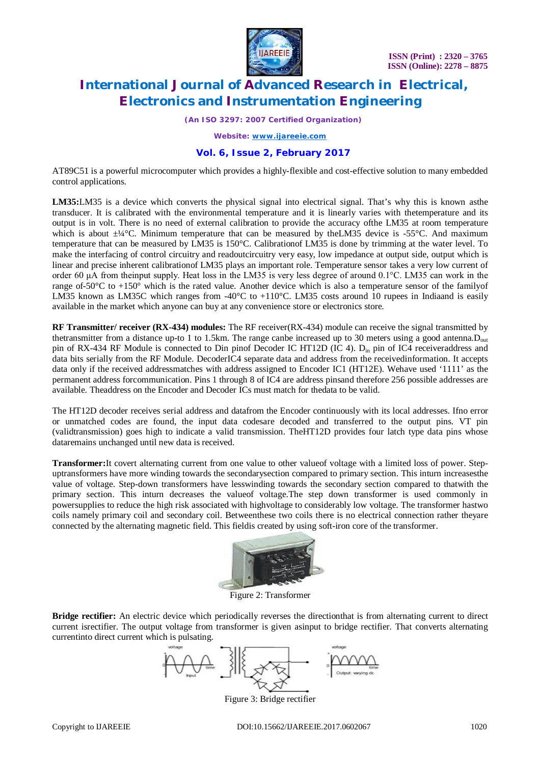

*(An ISO 3297: 2007 Certified Organization)*

*Website: [www.ijareeie.com](http://www.ijareeie.com)*

### **Vol. 6, Issue 2, February 2017**

AT89C51 is a powerful microcomputer which provides a highly-flexible and cost-effective solution to many embedded control applications.

**LM35:**LM35 is a device which converts the physical signal into electrical signal. That's why this is known asthe transducer. It is calibrated with the environmental temperature and it is linearly varies with thetemperature and its output is in volt. There is no need of external calibration to provide the accuracy ofthe LM35 at room temperature which is about  $\pm\frac{1}{4}$ °C. Minimum temperature that can be measured by the LM35 device is -55°C. And maximum temperature that can be measured by LM35 is 150°C. Calibrationof LM35 is done by trimming at the water level. To make the interfacing of control circuitry and readoutcircuitry very easy, low impedance at output side, output which is linear and precise inherent calibrationof LM35 plays an important role. Temperature sensor takes a very low current of order 60 μA from theinput supply. Heat loss in the LM35 is very less degree of around 0.1°C. LM35 can work in the range of-50 $^{\circ}$ C to +150 $^{\circ}$  which is the rated value. Another device which is also a temperature sensor of the familyof LM35 known as LM35C which ranges from -40°C to +110°C. LM35 costs around 10 rupees in Indiaand is easily available in the market which anyone can buy at any convenience store or electronics store.

**RF Transmitter/ receiver (RX-434) modules:** The RF receiver(RX-434) module can receive the signal transmitted by thetransmitter from a distance up-to 1 to 1.5km. The range canbe increased up to 30 meters using a good antenna.Dout pin of RX-434 RF Module is connected to Din pinof Decoder IC HT12D (IC 4).  $D_{in}$  pin of IC4 receiveraddress and data bits serially from the RF Module. DecoderIC4 separate data and address from the receivedinformation. It accepts data only if the received addressmatches with address assigned to Encoder IC1 (HT12E). Wehave used '1111' as the permanent address forcommunication. Pins 1 through 8 of IC4 are address pinsand therefore 256 possible addresses are available. Theaddress on the Encoder and Decoder ICs must match for thedata to be valid.

The HT12D decoder receives serial address and datafrom the Encoder continuously with its local addresses. Ifno error or unmatched codes are found, the input data codesare decoded and transferred to the output pins. VT pin (validtransmission) goes high to indicate a valid transmission. TheHT12D provides four latch type data pins whose dataremains unchanged until new data is received.

**Transformer:**It covert alternating current from one value to other valueof voltage with a limited loss of power. Stepuptransformers have more winding towards the secondarysection compared to primary section. This inturn increasesthe value of voltage. Step-down transformers have lesswinding towards the secondary section compared to thatwith the primary section. This inturn decreases the valueof voltage.The step down transformer is used commonly in powersupplies to reduce the high risk associated with highvoltage to considerably low voltage. The transformer hastwo coils namely primary coil and secondary coil. Betweenthese two coils there is no electrical connection rather theyare connected by the alternating magnetic field. This fieldis created by using soft-iron core of the transformer.



Figure 2: Transformer

**Bridge rectifier:** An electric device which periodically reverses the directionthat is from alternating current to direct current isrectifier. The output voltage from transformer is given asinput to bridge rectifier. That converts alternating currentinto direct current which is pulsating.



Figure 3: Bridge rectifier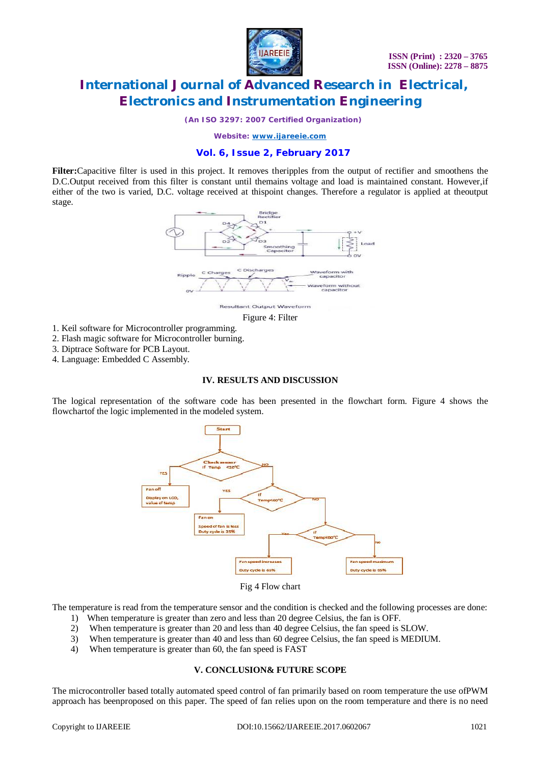

*(An ISO 3297: 2007 Certified Organization)*

*Website: [www.ijareeie.com](http://www.ijareeie.com)*

### **Vol. 6, Issue 2, February 2017**

**Filter:**Capacitive filter is used in this project. It removes theripples from the output of rectifier and smoothens the D.C.Output received from this filter is constant until themains voltage and load is maintained constant. However,if either of the two is varied, D.C. voltage received at thispoint changes. Therefore a regulator is applied at theoutput stage.



**Resultant Output Waveform** Figure 4: Filter

- 1. Keil software for Microcontroller programming.
- 2. Flash magic software for Microcontroller burning.
- 3. Diptrace Software for PCB Layout.
- 4. Language: Embedded C Assembly.

#### **IV. RESULTS AND DISCUSSION**

The logical representation of the software code has been presented in the flowchart form. Figure 4 shows the flowchartof the logic implemented in the modeled system.



Fig 4 Flow chart

The temperature is read from the temperature sensor and the condition is checked and the following processes are done:

- 1) When temperature is greater than zero and less than 20 degree Celsius, the fan is OFF.
- 2) When temperature is greater than 20 and less than 40 degree Celsius, the fan speed is SLOW.
- 3) When temperature is greater than 40 and less than 60 degree Celsius, the fan speed is MEDIUM.
- 4) When temperature is greater than 60, the fan speed is FAST

### **V. CONCLUSION& FUTURE SCOPE**

The microcontroller based totally automated speed control of fan primarily based on room temperature the use ofPWM approach has beenproposed on this paper. The speed of fan relies upon on the room temperature and there is no need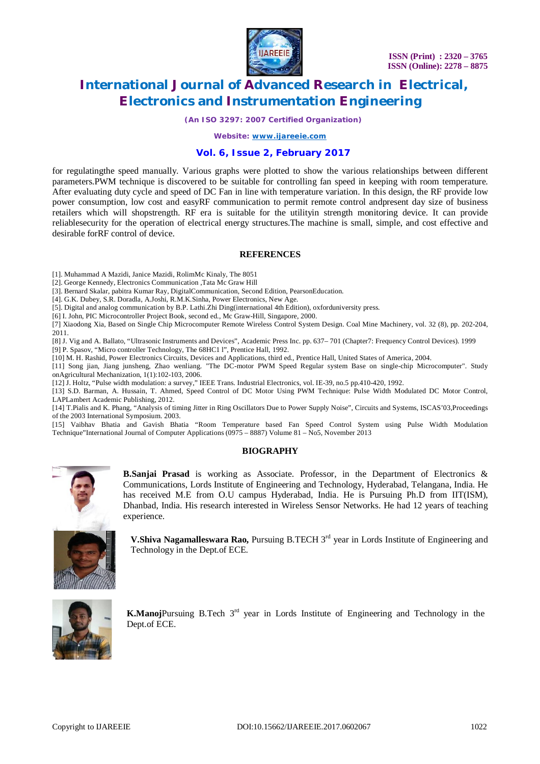

*(An ISO 3297: 2007 Certified Organization)*

*Website: [www.ijareeie.com](http://www.ijareeie.com)*

#### **Vol. 6, Issue 2, February 2017**

for regulatingthe speed manually. Various graphs were plotted to show the various relationships between different parameters.PWM technique is discovered to be suitable for controlling fan speed in keeping with room temperature. After evaluating duty cycle and speed of DC Fan in line with temperature variation. In this design, the RF provide low power consumption, low cost and easyRF communication to permit remote control andpresent day size of business retailers which will shopstrength. RF era is suitable for the utilityin strength monitoring device. It can provide reliablesecurity for the operation of electrical energy structures.The machine is small, simple, and cost effective and desirable forRF control of device.

#### **REFERENCES**

[1]. Muhammad A Mazidi, Janice Mazidi, RolimMc Kinaly, The 8051

[2]. George Kennedy, Electronics Communication ,Tata Mc Graw Hill

[3]. Bernard Skalar, pabitra Kumar Ray, DigitalCommunication, Second Edition, PearsonEducation.

[4]. G.K. Dubey, S.R. Doradla, A.Joshi, R.M.K.Sinha, Power Electronics, New Age.

[5]. Digital and analog communication by B.P. Lathi.Zhi Ding(international 4th Edition), oxforduniversity press.

[6] I. John, PIC Microcontroller Project Book, second ed., Mc Graw-Hill, Singapore, 2000.

[7] Xiaodong Xia, Based on Single Chip Microcomputer Remote Wireless Control System Design. Coal Mine Machinery, vol. 32 (8), pp. 202-204, 2011.

[8] J. Vig and A. Ballato, "Ultrasonic Instruments and Devices", Academic Press Inc. pp. 637– 701 (Chapter7: Frequency Control Devices). 1999 [9] P. Spasov, "Micro controller Technology, The 68HC1 l", Prentice Hall, 1992.

[10] M. H. Rashid, Power Electronics Circuits, Devices and Applications, third ed., Prentice Hall, United States of America, 2004.

[11] Song jian, Jiang junsheng, Zhao wenliang. "The DC-motor PWM Speed Regular system Base on single-chip Microcomputer". Study onAgricultural Mechanization, 1(1):102-103, 2006.

[12] J. Holtz, "Pulse width modulation: a survey," IEEE Trans. Industrial Electronics, vol. IE-39, no.5 pp.410-420, 1992.

[13] S.D. Barman, A. Hussain, T. Ahmed, Speed Control of DC Motor Using PWM Technique: Pulse Width Modulated DC Motor Control, LAPLambert Academic Publishing, 2012.

[14] T.Pialis and K. Phang, "Analysis of timing Jitter in Ring Oscillators Due to Power Supply Noise", Circuits and Systems, ISCAS'03,Proceedings of the 2003 International Symposium. 2003.

[15] Vaibhav Bhatia and Gavish Bhatia "Room Temperature based Fan Speed Control System using Pulse Width Modulation Technique"International Journal of Computer Applications (0975 – 8887) Volume 81 – No5, November 2013

#### **BIOGRAPHY**



**B.Sanjai Prasad** is working as Associate. Professor, in the Department of Electronics & Communications, Lords Institute of Engineering and Technology, Hyderabad, Telangana, India. He has received M.E from O.U campus Hyderabad, India. He is Pursuing Ph.D from IIT(ISM), Dhanbad, India. His research interested in Wireless Sensor Networks. He had 12 years of teaching experience.

**V.Shiva Nagamalleswara Rao, Pursuing B.TECH 3<sup>rd</sup> year in Lords Institute of Engineering and** Technology in the Dept.of ECE.



**K.Manoj**Pursuing B.Tech 3<sup>rd</sup> year in Lords Institute of Engineering and Technology in the Dept.of ECE.